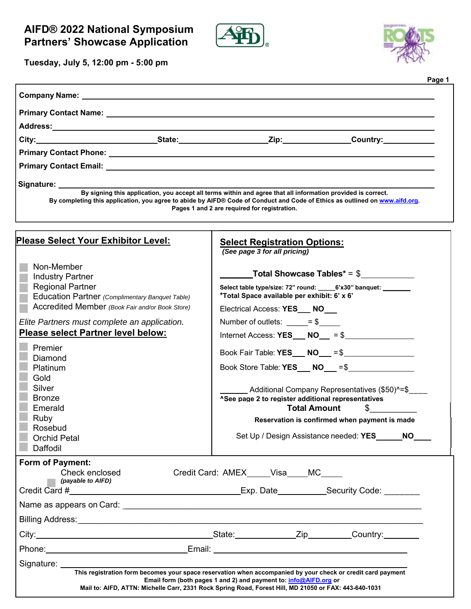



**Tuesday, July 5, 12:00 pm - 5:00 pm**

| Primary Contact Email: University of the Contract of the Contract of the Contract of the Contract of the Contract of the Contract of the Contract of the Contract of the Contract of the Contract of the Contract of the Contr       |                                                                                                                    |                                                                 |
|--------------------------------------------------------------------------------------------------------------------------------------------------------------------------------------------------------------------------------------|--------------------------------------------------------------------------------------------------------------------|-----------------------------------------------------------------|
| Signature: _________                                                                                                                                                                                                                 | By signing this application, you accept all terms within and agree that all information provided is correct.       |                                                                 |
| By completing this application, you agree to abide by AIFD® Code of Conduct and Code of Ethics as outlined on www.aifd.org.                                                                                                          | Pages 1 and 2 are required for registration.                                                                       |                                                                 |
| Please Select Your Exhibitor Level:                                                                                                                                                                                                  | <b>Select Registration Options:</b><br>(See page 3 for all pricing)                                                |                                                                 |
| Non-Member<br><b>Industry Partner</b>                                                                                                                                                                                                | <b>Example 2</b> Total Showcase Tables* = $$$                                                                      |                                                                 |
| <b>Regional Partner</b>                                                                                                                                                                                                              | Select table type/size: 72" round: ______ 6'x30" banquet: _________<br>*Total Space available per exhibit: 6' x 6' |                                                                 |
| Education Partner (Complimentary Banquet Table)<br>Accredited Member (Book Fair and/or Book Store)                                                                                                                                   | Electrical Access: YES___ NO                                                                                       |                                                                 |
| Elite Partners must complete an application.<br>Please select Partner level below:                                                                                                                                                   | Number of outlets: $= $$                                                                                           |                                                                 |
|                                                                                                                                                                                                                                      | Internet Access: $YES$ NO = $$$                                                                                    |                                                                 |
| Premier                                                                                                                                                                                                                              | Book Fair Table: YES __ NO __ = \$ _________________                                                               |                                                                 |
| Diamond<br>Platinum                                                                                                                                                                                                                  | Book Store Table: YES ___ NO ___ =\$                                                                               |                                                                 |
| Gold                                                                                                                                                                                                                                 |                                                                                                                    |                                                                 |
| Silver<br><b>Bronze</b><br>Emerald                                                                                                                                                                                                   | ^See page 2 to register additional representatives<br><b>Total Amount</b>                                          | _Additional Company Representatives (\$50)^=\$<br>$\frac{1}{2}$ |
| Ruby                                                                                                                                                                                                                                 |                                                                                                                    | Reservation is confirmed when payment is made                   |
| Rosebud<br><b>Orchid Petal</b><br>Daffodil                                                                                                                                                                                           | Set Up / Design Assistance needed: YES                                                                             | <b>NO</b>                                                       |
| Form of Payment:<br>Check enclosed<br>(payable to AIFD)                                                                                                                                                                              | Credit Card: AMEX_____Visa____MC____                                                                               | Exp. Date______________Security Code: ________                  |
| Name as appears on Card: <u>example and a series of the series of the series of the series of the series of the series of the series of the series of the series of the series of the series of the series of the series of the </u> |                                                                                                                    |                                                                 |
|                                                                                                                                                                                                                                      |                                                                                                                    |                                                                 |
|                                                                                                                                                                                                                                      |                                                                                                                    |                                                                 |
|                                                                                                                                                                                                                                      |                                                                                                                    |                                                                 |
| Phone: <u>Email:</u> Email: Email: Email: Email: example of the set of the set of the set of the set of the set of the set of the set of the set of the set of the set of the set of the set of the set of the set of the set of th  |                                                                                                                    |                                                                 |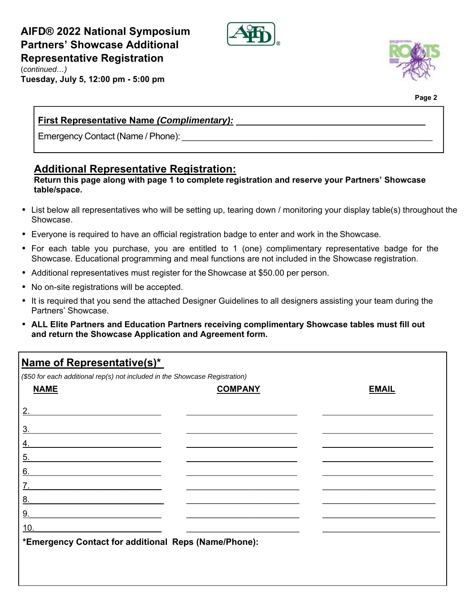# **AIFD® 2022 National Symposium Partners' Showcase Additional Representative Registration**



(*continued…)*

**Tuesday, July 5, 12:00 pm - 5:00 pm**



**Page 2**

### **First Representative Name** *(Complimentary):*

Emergency Contact (Name / Phone):

# **Additional Representative Registration:**

#### **Return this page along with page 1 to complete registration and reserve your Partners' Showcase table/space.**

- List below all representatives who will be setting up, tearing down / monitoring your display table(s) throughout the Showcase.
- Everyone is required to have an official registration badge to enter and work in the Showcase.
- For each table you purchase, you are entitled to 1 (one) complimentary representative badge for the Showcase. Educational programming and meal functions are not included in the Showcase registration.
- Additional representatives must register for the Showcase at \$50.00 per person.
- No on-site registrations will be accepted.
- It is required that you send the attached Designer Guidelines to all designers assisting your team during the Partners' Showcase.
- **ALL Elite Partners and Education Partners receiving complimentary Showcase tables must fill out and return the Showcase Application and Agreement form.**

# **Name of Representative(s)\***

*(\$50 for each additional rep(s) not included in the Showcase Registration)* 

| <b>NAME</b>                                                       | <b>COMPANY</b> | <b>EMAIL</b> |
|-------------------------------------------------------------------|----------------|--------------|
| 2.                                                                |                |              |
| 3.                                                                |                |              |
| 4.                                                                |                |              |
| 5.                                                                |                |              |
| 6.                                                                |                |              |
| $\overline{7}$ .<br><u> 1980 - Andrea Andrew Maria (h. 1980).</u> |                |              |
| 8.                                                                |                |              |
| 9.                                                                |                |              |
| 10.                                                               |                |              |
| *Emergency Contact for additional Reps (Name/Phone):              |                |              |
|                                                                   |                |              |
|                                                                   |                |              |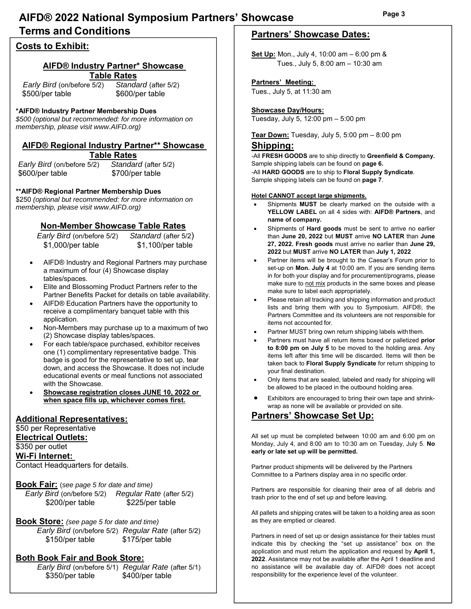# **AIFD® 2022 National Symposium Partners' Showcase Terms and Conditions**

#### **Costs to Exhibit:**

#### **AIFD® Industry Partner\* Showcase Table Rates**

 *Early Bird* (on/before 5/2) *Standard* (after 5/2) \$500/per table \$600/per table

#### **\*AIFD® Industry Partner Membership Dues**

*\$500 (optional but recommended: for more information on membership, please visit www.AIFD.org)*

#### **AIFD® Regional Industry Partner\*\* Showcase Table Rates**

*Early Bird* (on/before 5/2) *Standard* (after 5/2) \$600/per table \$700/per table

#### **\*\*AIFD® Regional Partner Membership Dues**

\$250 *(optional but recommended: for more information on membership, please visit www.AIFD.org)*

#### **Non-Member Showcase Table Rates**

 *Early Bird* (on/before 5/2) *Standard* (after 5/2) \$1,000/per table \$1,100/per table

- AIFD® Industry and Regional Partners may purchase a maximum of four (4) Showcase display tables/spaces.
- Elite and Blossoming Product Partners refer to the Partner Benefits Packet for details on table availability.
- AIFD® Education Partners have the opportunity to receive a complimentary banquet table with this application.
- Non-Members may purchase up to a maximum of two (2) Showcase display tables/spaces.
- For each table/space purchased, exhibitor receives one (1) complimentary representative badge. This badge is good for the representative to set up, tear down, and access the Showcase. It does not include educational events or meal functions not associated with the Showcase.
- **Showcase registration closes JUNE 10, 2022 or when space fills up, whichever comes first.**

#### **Additional Representatives:**

\$50 per Representative

#### **Electrical Outlets:**

\$350 per outlet

**Wi-Fi Internet:**

Contact Headquarters for details.

#### **Book Fair:** (*see page 5 for date and time)*

 *Early Bird* (on/before 5/2) *Regular Rate* (after 5/2) \$200/per table \$225/per table

#### **Book Store:** *(see page 5 for date and time)*

 *Early Bird* (on/before 5/2) *Regular Rate* (after 5/2) \$150/per table \$175/per table

#### **Both Book Fair and Book Store:**

 *Early Bird* (on/before 5/1) *Regular Rate* (after 5/1) \$350/per table \$400/per table

#### **Partners' Showcase Dates:**

**Set Up:** Mon., July 4, 10:00 am – 6:00 pm & Tues., July 5, 8:00 am – 10:30 am

#### **Partners' Meeting:**

Tues., July 5, at 11:30 am

#### **Showcase Day/Hours:**

Tuesday, July 5, 12:00 pm – 5:00 pm

#### **Tear Down:** Tuesday, July 5, 5:00 pm – 8:00 pm

#### **Shipping:**

-All **FRESH GOODS** are to ship directly to **Greenfield & Company.** Sample shipping labels can be found on **page 6.** -All **HARD GOODS** are to ship to **Floral Supply Syndicate**. Sample shipping labels can be found on **page 7**.

#### **Hotel CANNOT accept large shipments.**

- Shipments **MUST** be clearly marked on the outside with a **YELLOW LABEL** on all 4 sides with: **AIFD® Partners**, and **name of company.**
- Shipments of **Hard goods** must be sent to arrive no earlier than **June 20, 2022** but **MUST** arrive **NO LATER** than **June 27, 2022. Fresh goods** must arrive no earlier than **June 29, 2022** but **MUST** arrive **NO LATER** than **July 1, 2022**
- Partner items will be brought to the Caesar's Forum prior to set-up on **Mon. July 4** at 10:00 am. If you are sending items in for both your display and for procurement/programs, please make sure to not mix products in the same boxes and please make sure to label each appropriately.
- Please retain all tracking and shipping information and product lists and bring them with you to Symposium. AIFD®, the Partners Committee and its volunteers are not responsible for items not accounted for.
- Partner MUST bring own return shipping labels with them.
- Partners must have all return items boxed or palletized **prior to 8:00 pm on July 5** to be moved to the holding area. Any items left after this time will be discarded. Items will then be taken back to **Floral Supply Syndicate** for return shipping to your final destination.
- Only items that are sealed, labeled and ready for shipping will be allowed to be placed in the outbound holding area.
- Exhibitors are encouraged to bring their own tape and shrinkwrap as none will be available or provided on site.

#### **Partners' Showcase Set Up:**

All set up must be completed between 10:00 am and 6:00 pm on Monday, July 4, and 8:00 am to 10:30 am on Tuesday, July 5. **No early or late set up will be permitted.** 

Partner product shipments will be delivered by the Partners Committee to a Partners display area in no specific order.

Partners are responsible for cleaning their area of all debris and trash prior to the end of set up and before leaving.

All pallets and shipping crates will be taken to a holding area as soon as they are emptied or cleared.

Partners in need of set up or design assistance for their tables must indicate this by checking the "set up assistance" box on the application and must return the application and request by **April 1, 2022**. Assistance may not be available after the April 1 deadline and no assistance will be available day of. AIFD® does not accept responsibility for the experience level of the volunteer.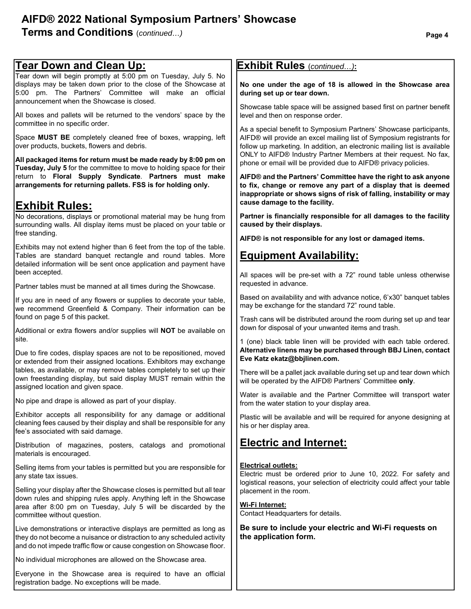# **AIFD® 2022 National Symposium Partners' Showcase**

**Terms and Conditions**  $(continued...)$ 

registration badge. No exceptions will be made.

| <u> Tear Down and Clean Up:</u>                                                                                                                                                                                                            | <b>Exhibit Rules</b> (continued):                                                                                                                                                                                                                                                                                                                                                                                                                                                                                                                                                                         |  |  |
|--------------------------------------------------------------------------------------------------------------------------------------------------------------------------------------------------------------------------------------------|-----------------------------------------------------------------------------------------------------------------------------------------------------------------------------------------------------------------------------------------------------------------------------------------------------------------------------------------------------------------------------------------------------------------------------------------------------------------------------------------------------------------------------------------------------------------------------------------------------------|--|--|
| Tear down will begin promptly at 5:00 pm on Tuesday, July 5. No<br>displays may be taken down prior to the close of the Showcase at<br>5:00 pm. The Partners' Committee will make an official<br>announcement when the Showcase is closed. | No one under the age of 18 is allowed in the Showcase area<br>during set up or tear down.                                                                                                                                                                                                                                                                                                                                                                                                                                                                                                                 |  |  |
| All boxes and pallets will be returned to the vendors' space by the<br>committee in no specific order.                                                                                                                                     | Showcase table space will be assigned based first on partner benefit<br>level and then on response order.                                                                                                                                                                                                                                                                                                                                                                                                                                                                                                 |  |  |
| Space MUST BE completely cleaned free of boxes, wrapping, left<br>over products, buckets, flowers and debris.                                                                                                                              | As a special benefit to Symposium Partners' Showcase participants,<br>AIFD® will provide an excel mailing list of Symposium registrants for<br>follow up marketing. In addition, an electronic mailing list is available<br>ONLY to AIFD® Industry Partner Members at their request. No fax,<br>phone or email will be provided due to AIFD® privacy policies.<br>AIFD® and the Partners' Committee have the right to ask anyone<br>to fix, change or remove any part of a display that is deemed<br>inappropriate or shows signs of risk of falling, instability or may<br>cause damage to the facility. |  |  |
| All packaged items for return must be made ready by 8:00 pm on<br>Tuesday, July 5 for the committee to move to holding space for their                                                                                                     |                                                                                                                                                                                                                                                                                                                                                                                                                                                                                                                                                                                                           |  |  |
| return to Floral Supply Syndicate. Partners must make<br>arrangements for returning pallets. FSS is for holding only.                                                                                                                      |                                                                                                                                                                                                                                                                                                                                                                                                                                                                                                                                                                                                           |  |  |
| <u>Exhibit Rules:</u>                                                                                                                                                                                                                      |                                                                                                                                                                                                                                                                                                                                                                                                                                                                                                                                                                                                           |  |  |
| No decorations, displays or promotional material may be hung from<br>surrounding walls. All display items must be placed on your table or<br>free standing.                                                                                | Partner is financially responsible for all damages to the facility<br>caused by their displays.                                                                                                                                                                                                                                                                                                                                                                                                                                                                                                           |  |  |
|                                                                                                                                                                                                                                            | AIFD® is not responsible for any lost or damaged items.                                                                                                                                                                                                                                                                                                                                                                                                                                                                                                                                                   |  |  |
| Exhibits may not extend higher than 6 feet from the top of the table.<br>Tables are standard banquet rectangle and round tables. More<br>detailed information will be sent once application and payment have<br>been accepted.             | <b>Equipment Availability:</b>                                                                                                                                                                                                                                                                                                                                                                                                                                                                                                                                                                            |  |  |
| Partner tables must be manned at all times during the Showcase.                                                                                                                                                                            | All spaces will be pre-set with a 72" round table unless otherwise<br>requested in advance.                                                                                                                                                                                                                                                                                                                                                                                                                                                                                                               |  |  |
| If you are in need of any flowers or supplies to decorate your table,<br>we recommend Greenfield & Company. Their information can be<br>found on page 5 of this packet.                                                                    | Based on availability and with advance notice, 6'x30" banquet tables<br>may be exchange for the standard 72" round table.<br>Trash cans will be distributed around the room during set up and tear<br>down for disposal of your unwanted items and trash.                                                                                                                                                                                                                                                                                                                                                 |  |  |
| Additional or extra flowers and/or supplies will NOT be available on                                                                                                                                                                       |                                                                                                                                                                                                                                                                                                                                                                                                                                                                                                                                                                                                           |  |  |
| site.<br>Due to fire codes, display spaces are not to be repositioned, moved<br>or extended from their assigned locations. Exhibitors may exchange                                                                                         | 1 (one) black table linen will be provided with each table ordered.<br>Alternative linens may be purchased through BBJ Linen, contact<br>Eve Katz ekatz@bbjlinen.com.                                                                                                                                                                                                                                                                                                                                                                                                                                     |  |  |
| tables, as available, or may remove tables completely to set up their<br>own freestanding display, but said display MUST remain within the<br>assigned location and given space.                                                           | There will be a pallet jack available during set up and tear down which<br>will be operated by the AIFD® Partners' Committee only.                                                                                                                                                                                                                                                                                                                                                                                                                                                                        |  |  |
| No pipe and drape is allowed as part of your display.                                                                                                                                                                                      | Water is available and the Partner Committee will transport water<br>from the water station to your display area.                                                                                                                                                                                                                                                                                                                                                                                                                                                                                         |  |  |
| Exhibitor accepts all responsibility for any damage or additional<br>cleaning fees caused by their display and shall be responsible for any<br>fee's associated with said damage.                                                          | Plastic will be available and will be required for anyone designing at<br>his or her display area.                                                                                                                                                                                                                                                                                                                                                                                                                                                                                                        |  |  |
| Distribution of magazines, posters, catalogs and promotional<br>materials is encouraged.                                                                                                                                                   | <b>Electric and Internet:</b>                                                                                                                                                                                                                                                                                                                                                                                                                                                                                                                                                                             |  |  |
| Selling items from your tables is permitted but you are responsible for<br>any state tax issues.                                                                                                                                           | <b>Electrical outlets:</b><br>Electric must be ordered prior to June 10, 2022. For safety and                                                                                                                                                                                                                                                                                                                                                                                                                                                                                                             |  |  |
| Selling your display after the Showcase closes is permitted but all tear<br>down rules and shipping rules apply. Anything left in the Showcase<br>area after 8:00 pm on Tuesday, July 5 will be discarded by the                           | logistical reasons, your selection of electricity could affect your table<br>placement in the room.<br>Wi-Fi Internet:                                                                                                                                                                                                                                                                                                                                                                                                                                                                                    |  |  |
| committee without question.                                                                                                                                                                                                                | Contact Headquarters for details.                                                                                                                                                                                                                                                                                                                                                                                                                                                                                                                                                                         |  |  |
| Live demonstrations or interactive displays are permitted as long as<br>they do not become a nuisance or distraction to any scheduled activity<br>and do not impede traffic flow or cause congestion on Showcase floor.                    | Be sure to include your electric and Wi-Fi requests on<br>the application form.                                                                                                                                                                                                                                                                                                                                                                                                                                                                                                                           |  |  |
| No individual microphones are allowed on the Showcase area.                                                                                                                                                                                |                                                                                                                                                                                                                                                                                                                                                                                                                                                                                                                                                                                                           |  |  |
| Everyone in the Showcase area is required to have an official                                                                                                                                                                              |                                                                                                                                                                                                                                                                                                                                                                                                                                                                                                                                                                                                           |  |  |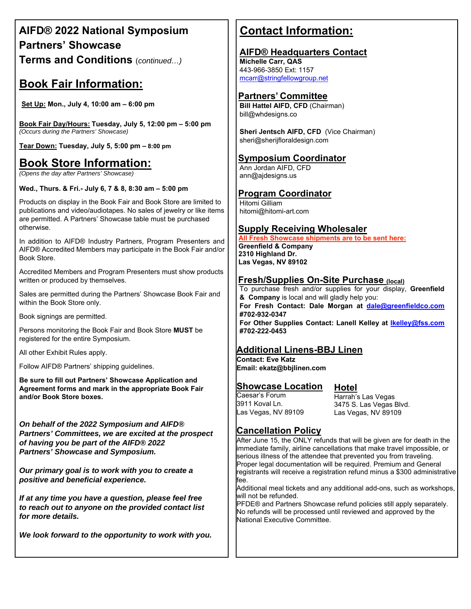# **AIFD® 2022 National Symposium Partners' Showcase Terms and Conditions** (*continued…)*

# **Book Fair Information:**

**Set Up: Mon., July 4, 10:00 am – 6:00 pm** 

**Book Fair Day/Hours: Tuesday, July 5, 12:00 pm – 5:00 pm**  *(Occurs during the Partners' Showcase)* 

**Tear Down: Tuesday, July 5, 5:00 pm – 8:00 pm** 

# **Book Store Information:**

*(Opens the day after Partners' Showcase)* 

#### **Wed., Thurs. & Fri.- July 6, 7 & 8, 8:30 am – 5:00 pm**

Products on display in the Book Fair and Book Store are limited to publications and video/audiotapes. No sales of jewelry or like items are permitted. A Partners' Showcase table must be purchased otherwise.

In addition to AIFD® Industry Partners, Program Presenters and AIFD® Accredited Members may participate in the Book Fair and/or Book Store.

Accredited Members and Program Presenters must show products written or produced by themselves.

Sales are permitted during the Partners' Showcase Book Fair and within the Book Store only.

Book signings are permitted.

Persons monitoring the Book Fair and Book Store **MUST** be registered for the entire Symposium.

All other Exhibit Rules apply.

Follow AIFD® Partners' shipping guidelines.

**Be sure to fill out Partners' Showcase Application and Agreement forms and mark in the appropriate Book Fair and/or Book Store boxes.** 

*On behalf of the 2022 Symposium and AIFD® Partners' Committees, we are excited at the prospect of having you be part of the AIFD® 2022 Partners' Showcase and Symposium.* 

*Our primary goal is to work with you to create a positive and beneficial experience.* 

*If at any time you have a question, please feel free to reach out to anyone on the provided contact list for more details.* 

*We look forward to the opportunity to work with you.* 

# **Contact Information:**

### **AIFD® Headquarters Contact**

**Michelle Carr, QAS**  443-966-3850 Ext: 1157 mcarr@stringfellowgroup.net

#### **Partners' Committee**

**Bill Hattel AIFD, CFD** (Chairman) bill@whdesigns.co

**Sheri Jentsch AIFD, CFD** (Vice Chairman) sheri@sherijfloraldesign.com

# **Symposium Coordinator**

Ann Jordan AIFD, CFD ann@ajdesigns.us

# **Program Coordinator**

Hitomi Gilliam hitomi@hitomi-art.com

#### **Supply Receiving Wholesaler**

 **All Fresh Showcase shipments are to be sent here: Greenfield & Company 2310 Highland Dr. Las Vegas, NV 89102** 

#### **Fresh/Supplies On-Site Purchase (local)**

To purchase fresh and/or supplies for your display, **Greenfield & Company** is local and will gladly help you: **For Fresh Contact: Dale Morgan at dale@greenfieldco.com #702-932-0347 For Other Supplies Contact: Lanell Kelley at lkelley@fss.com #702-222-0453** 

#### **Additional Linens-BBJ Linen**

**Contact: Eve Katz Email: ekatz@bbjlinen.com** 

### **Showcase Location**

Caesar's Forum 3911 Koval Ln. Las Vegas, NV 89109 **Hotel** Harrah's Las Vegas 3475 S. Las Vegas Blvd. Las Vegas, NV 89109

### **Cancellation Policy**

After June 15, the ONLY refunds that will be given are for death in the immediate family, airline cancellations that make travel impossible, or serious illness of the attendee that prevented you from traveling. Proper legal documentation will be required. Premium and General registrants will receive a registration refund minus a \$300 administrative fee.

Additional meal tickets and any additional add-ons, such as workshops, will not be refunded.

PFDE® and Partners Showcase refund policies still apply separately. No refunds will be processed until reviewed and approved by the National Executive Committee.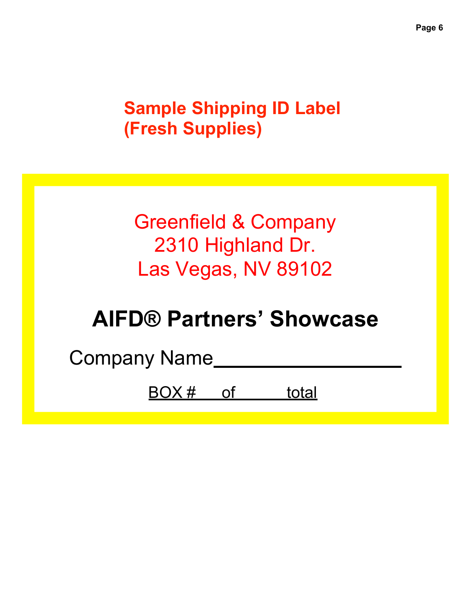# **Sample Shipping ID Label (Fresh Supplies)**

# Greenfield & Company 2310 Highland Dr. Las Vegas, NV 89102

# **AIFD® Partners' Showcase**

Company Name

BOX # of total